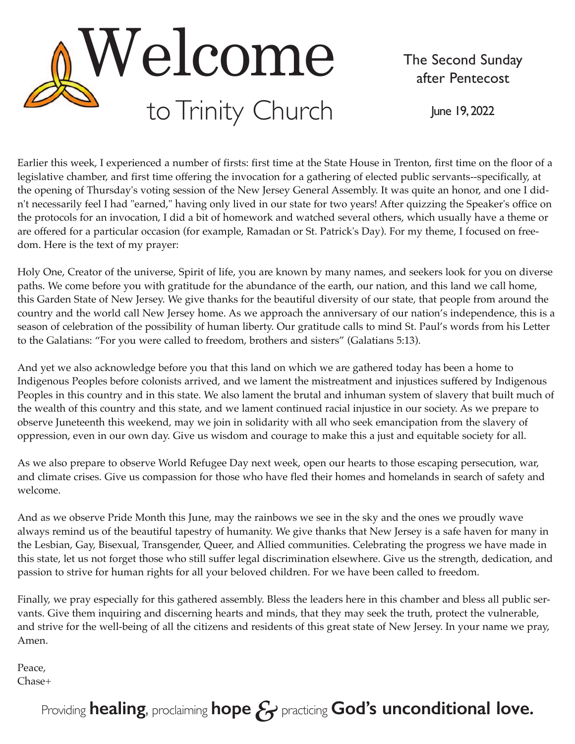

The Second Sunday after Pentecost

June 19, 2022

Earlier this week, I experienced a number of firsts: first time at the State House in Trenton, first time on the floor of a legislative chamber, and first time offering the invocation for a gathering of elected public servants--specifically, at the opening of Thursday's voting session of the New Jersey General Assembly. It was quite an honor, and one I didn't necessarily feel I had "earned," having only lived in our state for two years! After quizzing the Speaker's office on the protocols for an invocation, I did a bit of homework and watched several others, which usually have a theme or are offered for a particular occasion (for example, Ramadan or St. Patrick's Day). For my theme, I focused on freedom. Here is the text of my prayer:

Holy One, Creator of the universe, Spirit of life, you are known by many names, and seekers look for you on diverse paths. We come before you with gratitude for the abundance of the earth, our nation, and this land we call home, this Garden State of New Jersey. We give thanks for the beautiful diversity of our state, that people from around the country and the world call New Jersey home. As we approach the anniversary of our nation's independence, this is a season of celebration of the possibility of human liberty. Our gratitude calls to mind St. Paul's words from his Letter to the Galatians: "For you were called to freedom, brothers and sisters" (Galatians 5:13).

And yet we also acknowledge before you that this land on which we are gathered today has been a home to Indigenous Peoples before colonists arrived, and we lament the mistreatment and injustices suffered by Indigenous Peoples in this country and in this state. We also lament the brutal and inhuman system of slavery that built much of the wealth of this country and this state, and we lament continued racial injustice in our society. As we prepare to observe Juneteenth this weekend, may we join in solidarity with all who seek emancipation from the slavery of oppression, even in our own day. Give us wisdom and courage to make this a just and equitable society for all.

As we also prepare to observe World Refugee Day next week, open our hearts to those escaping persecution, war, and climate crises. Give us compassion for those who have fled their homes and homelands in search of safety and welcome.

And as we observe Pride Month this June, may the rainbows we see in the sky and the ones we proudly wave always remind us of the beautiful tapestry of humanity. We give thanks that New Jersey is a safe haven for many in the Lesbian, Gay, Bisexual, Transgender, Queer, and Allied communities. Celebrating the progress we have made in this state, let us not forget those who still suffer legal discrimination elsewhere. Give us the strength, dedication, and passion to strive for human rights for all your beloved children. For we have been called to freedom.

Finally, we pray especially for this gathered assembly. Bless the leaders here in this chamber and bless all public servants. Give them inquiring and discerning hearts and minds, that they may seek the truth, protect the vulnerable, and strive for the well-being of all the citizens and residents of this great state of New Jersey. In your name we pray, Amen.

Peace, Chase+

# Providing **healing**, proclaiming **hope***&*practicing **God's unconditional love.**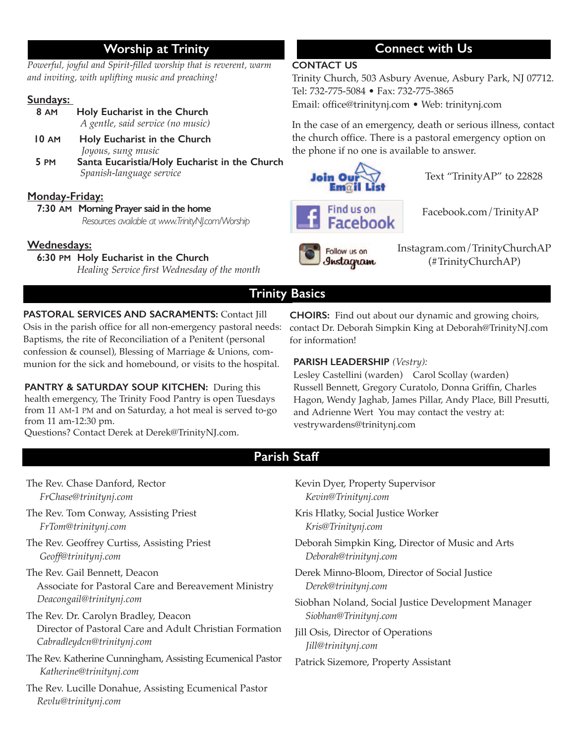# **Worship at Trinity**

*Powerful, joyful and Spirit-filled worship that is reverent, warm and inviting, with uplifting music and preaching!* 

#### **Sundays:**

| 8 AM | Holy Eucharist in the Church      |  |  |  |
|------|-----------------------------------|--|--|--|
|      | A gentle, said service (no music) |  |  |  |

- **10 AM Holy Eucharist in the Church** *Joyous, sung music*
- **5 PM Santa Eucaristia/Holy Eucharist in the Church**   *Spanish-language service*

#### **Monday-Friday:**

 **7:30 AM Morning Prayer said in the home** *Resources available at www.TrinityNJ.com/Worship* 

### **Wednesdays:**

#### **6:30 PM Holy Eucharist in the Church**

 *Healing Service first Wednesday of the month* 

# **Connect with Us**

#### **CONTACT US**

Trinity Church, 503 Asbury Avenue, Asbury Park, NJ 07712. Tel: 732-775-5084 • Fax: 732-775-3865 Email: office@trinitynj.com • Web: trinitynj.com

In the case of an emergency, death or serious illness, contact the church office. There is a pastoral emergency option on the phone if no one is available to answer.



Text "TrinityAP" to 22828



Facebook.com/TrinityAP

Follow us on Instagram Instagram.com/TrinityChurchAP (#TrinityChurchAP)

# **Trinity Basics**

**PASTORAL SERVICES AND SACRAMENTS:** Contact Jill Osis in the parish office for all non-emergency pastoral needs: Baptisms, the rite of Reconciliation of a Penitent (personal confession & counsel), Blessing of Marriage & Unions, communion for the sick and homebound, or visits to the hospital.

**PANTRY & SATURDAY SOUP KITCHEN:** During this health emergency, The Trinity Food Pantry is open Tuesdays from 11 AM-1 PM and on Saturday, a hot meal is served to-go from 11 am-12:30 pm.

Questions? Contact Derek at Derek@TrinityNJ.com.

**CHOIRS:** Find out about our dynamic and growing choirs, contact Dr. Deborah Simpkin King at Deborah@TrinityNJ.com for information!

### **PARISH LEADERSHIP** *(Vestry):*

Lesley Castellini (warden) Carol Scollay (warden) Russell Bennett, Gregory Curatolo, Donna Griffin, Charles Hagon, Wendy Jaghab, James Pillar, Andy Place, Bill Presutti, and Adrienne Wert You may contact the vestry at: vestrywardens@trinitynj.com

# **Parish Staff**

- The Rev. Chase Danford, Rector *FrChase@trinitynj.com*
- The Rev. Tom Conway, Assisting Priest *FrTom@trinitynj.com*
- The Rev. Geoffrey Curtiss, Assisting Priest *Geoff@trinitynj.com*

The Rev. Gail Bennett, Deacon Associate for Pastoral Care and Bereavement Ministry *Deacongail@trinitynj.com* 

- The Rev. Dr. Carolyn Bradley, Deacon Director of Pastoral Care and Adult Christian Formation *Cabradleydcn@trinitynj.com*
- The Rev. Katherine Cunningham, Assisting Ecumenical Pastor *Katherine@trinitynj.com*
- The Rev. Lucille Donahue, Assisting Ecumenical Pastor *Revlu@trinitynj.com*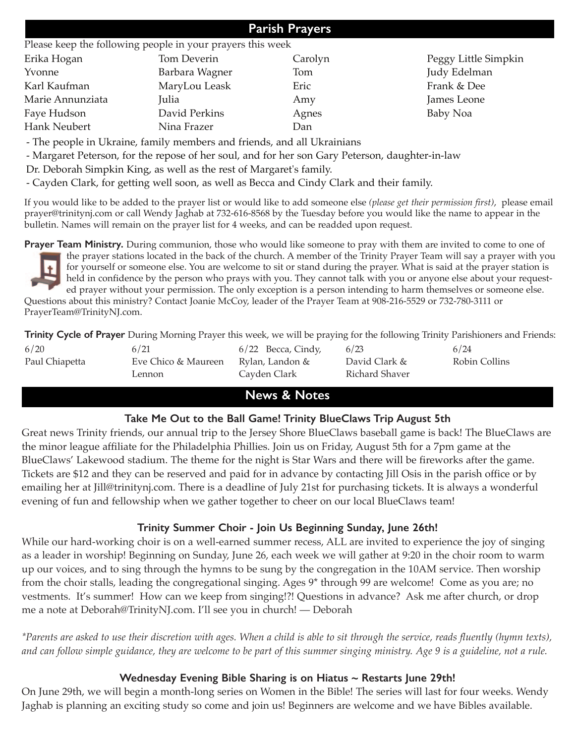# **Parish Prayers**

#### Please keep the following people in your prayers this week

| Erika Hogan      | Tom Deverin    | Carolyn | Peggy Little Simpkin |
|------------------|----------------|---------|----------------------|
| Yvonne           | Barbara Wagner | Tom     | Judy Edelman         |
| Karl Kaufman     | MaryLou Leask  | Eric    | Frank & Dee          |
| Marie Annunziata | Julia          | Amy     | James Leone          |
| Faye Hudson      | David Perkins  | Agnes   | Baby Noa             |
| Hank Neubert     | Nina Frazer    | Dan     |                      |

- The people in Ukraine, family members and friends, and all Ukrainians

- Margaret Peterson, for the repose of her soul, and for her son Gary Peterson, daughter-in-law

Dr. Deborah Simpkin King, as well as the rest of Margaret's family.

- Cayden Clark, for getting well soon, as well as Becca and Cindy Clark and their family.

If you would like to be added to the prayer list or would like to add someone else *(please get their permission first)*, please email prayer@trinitynj.com or call Wendy Jaghab at 732-616-8568 by the Tuesday before you would like the name to appear in the bulletin. Names will remain on the prayer list for 4 weeks, and can be readded upon request.

**Prayer Team Ministry.** During communion, those who would like someone to pray with them are invited to come to one of the prayer stations located in the back of the church. A member of the Trinity Prayer Team will say a prayer with you

for yourself or someone else. You are welcome to sit or stand during the prayer. What is said at the prayer station is held in confidence by the person who prays with you. They cannot talk with you or anyone else about your requested prayer without your permission. The only exception is a person intending to harm themselves or someone else. Questions about this ministry? Contact Joanie McCoy, leader of the Prayer Team at 908-216-5529 or 732-780-3111 or PrayerTeam@TrinityNJ.com.

**Trinity Cycle of Prayer** During Morning Prayer this week, we will be praying for the following Trinity Parishioners and Friends:

| 6/20           | 6/21                | $6/22$ Becca, Cindy, | 6/23           | 6/24          |
|----------------|---------------------|----------------------|----------------|---------------|
| Paul Chiapetta | Eve Chico & Maureen | Rylan, Landon &      | David Clark &  | Robin Collins |
|                | Lennon              | Cayden Clark         | Richard Shaver |               |

# **News & Notes**

### **Take Me Out to the Ball Game! Trinity BlueClaws Trip August 5th**

Great news Trinity friends, our annual trip to the Jersey Shore BlueClaws baseball game is back! The BlueClaws are the minor league affiliate for the Philadelphia Phillies. Join us on Friday, August 5th for a 7pm game at the BlueClaws' Lakewood stadium. The theme for the night is Star Wars and there will be fireworks after the game. Tickets are \$12 and they can be reserved and paid for in advance by contacting Jill Osis in the parish office or by emailing her at Jill@trinitynj.com. There is a deadline of July 21st for purchasing tickets. It is always a wonderful evening of fun and fellowship when we gather together to cheer on our local BlueClaws team!

## **Trinity Summer Choir - Join Us Beginning Sunday, June 26th!**

While our hard-working choir is on a well-earned summer recess, ALL are invited to experience the joy of singing as a leader in worship! Beginning on Sunday, June 26, each week we will gather at 9:20 in the choir room to warm up our voices, and to sing through the hymns to be sung by the congregation in the 10AM service. Then worship from the choir stalls, leading the congregational singing. Ages 9\* through 99 are welcome! Come as you are; no vestments. It's summer! How can we keep from singing!?! Questions in advance? Ask me after church, or drop me a note at Deborah@TrinityNJ.com. I'll see you in church! — Deborah

*\*Parents are asked to use their discretion with ages. When a child is able to sit through the service, reads fluently (hymn texts), and can follow simple guidance, they are welcome to be part of this summer singing ministry. Age 9 is a guideline, not a rule.* 

## **Wednesday Evening Bible Sharing is on Hiatus ~ Restarts June 29th!**

On June 29th, we will begin a month-long series on Women in the Bible! The series will last for four weeks. Wendy Jaghab is planning an exciting study so come and join us! Beginners are welcome and we have Bibles available.